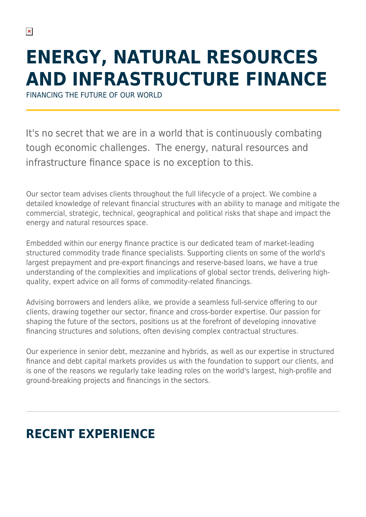# **ENERGY, NATURAL RESOURCES AND INFRASTRUCTURE FINANCE**

FINANCING THE FUTURE OF OUR WORLD

It's no secret that we are in a world that is continuously combating tough economic challenges. The energy, natural resources and infrastructure finance space is no exception to this.

Our sector team advises clients throughout the full lifecycle of a project. We combine a detailed knowledge of relevant financial structures with an ability to manage and mitigate the commercial, strategic, technical, geographical and political risks that shape and impact the energy and natural resources space.

Embedded within our energy finance practice is our dedicated team of market-leading structured commodity trade finance specialists. Supporting clients on some of the world's largest prepayment and pre-export financings and reserve-based loans, we have a true understanding of the complexities and implications of global sector trends, delivering highquality, expert advice on all forms of commodity-related financings.

Advising borrowers and lenders alike, we provide a seamless full-service offering to our clients, drawing together our sector, finance and cross-border expertise. Our passion for shaping the future of the sectors, positions us at the forefront of developing innovative financing structures and solutions, often devising complex contractual structures.

Our experience in senior debt, mezzanine and hybrids, as well as our expertise in structured finance and debt capital markets provides us with the foundation to support our clients, and is one of the reasons we regularly take leading roles on the world's largest, high-profile and ground-breaking projects and financings in the sectors.

# **RECENT EXPERIENCE**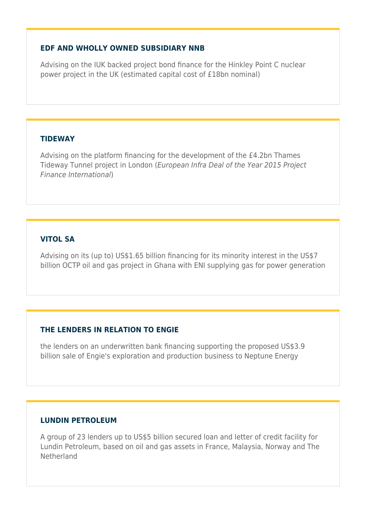#### **EDF AND WHOLLY OWNED SUBSIDIARY NNB**

Advising on the IUK backed project bond finance for the Hinkley Point C nuclear power project in the UK (estimated capital cost of £18bn nominal)

#### **TIDEWAY**

Advising on the platform financing for the development of the £4.2bn Thames Tideway Tunnel project in London (European Infra Deal of the Year 2015 Project Finance International)

#### **VITOL SA**

Advising on its (up to) US\$1.65 billion financing for its minority interest in the US\$7 billion OCTP oil and gas project in Ghana with ENI supplying gas for power generation

#### **THE LENDERS IN RELATION TO ENGIE**

the lenders on an underwritten bank financing supporting the proposed US\$3.9 billion sale of Engie's exploration and production business to Neptune Energy

#### **LUNDIN PETROLEUM**

A group of 23 lenders up to US\$5 billion secured loan and letter of credit facility for Lundin Petroleum, based on oil and gas assets in France, Malaysia, Norway and The Netherland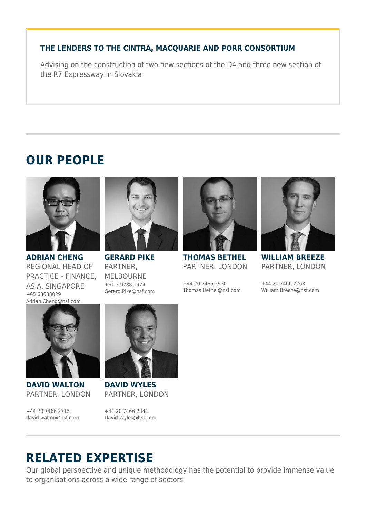#### **THE LENDERS TO THE CINTRA, MACQUARIE AND PORR CONSORTIUM**

Advising on the construction of two new sections of the D4 and three new section of the R7 Expressway in Slovakia

## **OUR PEOPLE**



**ADRIAN CHENG** REGIONAL HEAD OF PRACTICE - FINANCE, ASIA, SINGAPORE +65 68688029 Adrian.Cheng@hsf.com



**GERARD PIKE** PARTNER, MELBOURNE +61 3 9288 1974 Gerard.Pike@hsf.com



**THOMAS BETHEL** PARTNER, LONDON

+44 20 7466 2930 Thomas.Bethel@hsf.com



**WILLIAM BREEZE** PARTNER, LONDON

+44 20 7466 2263 William.Breeze@hsf.com



**DAVID WALTON** PARTNER, LONDON

+44 20 7466 2715 david.walton@hsf.com



**DAVID WYLES** PARTNER, LONDON

+44 20 7466 2041 David.Wyles@hsf.com

## **RELATED EXPERTISE**

Our global perspective and unique methodology has the potential to provide immense value to organisations across a wide range of sectors